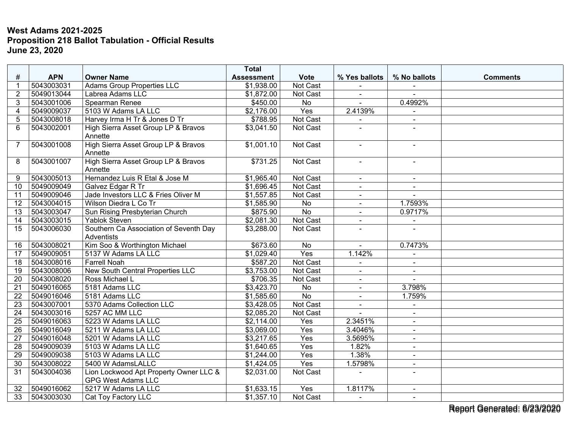## **West Adams 2021-2025 Proposition 218 Ballot Tabulation - Official Results June 23, 2020**

|                          |            |                                                                     | <b>Total</b>      |                 |                |                          |                 |
|--------------------------|------------|---------------------------------------------------------------------|-------------------|-----------------|----------------|--------------------------|-----------------|
| #                        | <b>APN</b> | <b>Owner Name</b>                                                   | <b>Assessment</b> | <b>Vote</b>     | % Yes ballots  | % No ballots             | <b>Comments</b> |
| 1                        | 5043003031 | <b>Adams Group Properties LLC</b>                                   | \$1,938.00        | Not Cast        |                |                          |                 |
| $\overline{2}$           | 5049013044 | Labrea Adams LLC                                                    | \$1,872.00        | <b>Not Cast</b> | $\blacksquare$ | $\sim$                   |                 |
| 3                        | 5043001006 | Spearman Renee                                                      | $\sqrt{$450.00}$  | No              |                | 0.4992%                  |                 |
| $\overline{\mathcal{A}}$ | 5049009037 | 5103 W Adams LA LLC                                                 | \$2,176.00        | Yes             | 2.4139%        |                          |                 |
| 5                        | 5043008018 | Harvey Irma H Tr & Jones D Tr                                       | \$788.95          | Not Cast        |                | $\blacksquare$           |                 |
| 6                        | 5043002001 | High Sierra Asset Group LP & Bravos<br>Annette                      | \$3,041.50        | Not Cast        |                |                          |                 |
| 7                        | 5043001008 | High Sierra Asset Group LP & Bravos<br>Annette                      | \$1,001.10        | Not Cast        | $\mathbf{r}$   | $\blacksquare$           |                 |
| 8                        | 5043001007 | High Sierra Asset Group LP & Bravos<br>Annette                      | \$731.25          | Not Cast        | $\sim$         | $\blacksquare$           |                 |
| 9                        | 5043005013 | Hernandez Luis R Etal & Jose M                                      | \$1,965.40        | Not Cast        | $\sim$         | $\blacksquare$           |                 |
| 10                       | 5049009049 | Galvez Edgar R Tr                                                   | \$1,696.45        | Not Cast        | $\overline{a}$ | $\blacksquare$           |                 |
| 11                       | 5049009046 | Jade Investors LLC & Fries Oliver M                                 | \$1,557.85        | Not Cast        |                |                          |                 |
| $\overline{12}$          | 5043004015 | Wilson Diedra L Co Tr                                               | \$1,585.90        | No              | $\blacksquare$ | 1.7593%                  |                 |
| 13                       | 5043003047 | Sun Rising Presbyterian Church                                      | \$875.90          | <b>No</b>       | $\blacksquare$ | 0.9717%                  |                 |
| 14                       | 5043003015 | <b>Yablok Steven</b>                                                | \$2,081.30        | Not Cast        | $\blacksquare$ | $\overline{\phantom{a}}$ |                 |
| $\overline{15}$          | 5043006030 | Southern Ca Association of Seventh Day<br>Adventists                | \$3,288.00        | Not Cast        | $\sim$         |                          |                 |
| 16                       | 5043008021 | Kim Soo & Worthington Michael                                       | \$673.60          | $\overline{No}$ |                | 0.7473%                  |                 |
| 17                       | 5049009051 | 5137 W Adams LA LLC                                                 | \$1,029.40        | Yes             | 1.142%         |                          |                 |
| $\overline{18}$          | 5043008016 | <b>Farrell Noah</b>                                                 | \$587.20          | Not Cast        |                | $\sim$                   |                 |
| 19                       | 5043008006 | <b>New South Central Properties LLC</b>                             | \$3,753.00        | Not Cast        | $\blacksquare$ | $\blacksquare$           |                 |
| 20                       | 5043008020 | Ross Michael L                                                      | \$706.35          | Not Cast        | $\sim$         | $\sim$                   |                 |
| 21                       | 5049016065 | 5181 Adams LLC                                                      | \$3,423.70        | No              | $\blacksquare$ | 3.798%                   |                 |
| 22                       | 5049016046 | 5181 Adams LLC                                                      | \$1,585.60        | $\overline{No}$ | $\sim$         | 1.759%                   |                 |
| 23                       | 5043007001 | 5370 Adams Collection LLC                                           | \$3,428.05        | Not Cast        | $\sim$         | $\blacksquare$           |                 |
| 24                       | 5043003016 | 5257 AC MM LLC                                                      | \$2,085.20        | Not Cast        |                | $\blacksquare$           |                 |
| 25                       | 5049016063 | 5223 W Adams LA LLC                                                 | \$2,114.00        | Yes             | 2.3451%        |                          |                 |
| 26                       | 5049016049 | 5211 W Adams LA LLC                                                 | \$3,069.00        | Yes             | 3.4046%        | $\blacksquare$           |                 |
| 27                       | 5049016048 | 5201 W Adams LA LLC                                                 | \$3,217.65        | Yes             | 3.5695%        | $\blacksquare$           |                 |
| $\overline{28}$          | 5049009039 | 5103 W Adams LA LLC                                                 | \$1,640.65        | Yes             | 1.82%          | $\blacksquare$           |                 |
| 29                       | 5049009038 | 5103 W Adams LA LLC                                                 | \$1,244.00        | Yes             | 1.38%          | $\blacksquare$           |                 |
| 30                       | 5043008022 | 5400 W AdamsLALLC                                                   | \$1,424.05        | Yes             | 1.5798%        | $\blacksquare$           |                 |
| 31                       | 5043004036 | Lion Lockwood Apt Property Owner LLC &<br><b>GPG West Adams LLC</b> | \$2,031.00        | Not Cast        |                | $\overline{a}$           |                 |
| 32                       | 5049016062 | 5217 W Adams LA LLC                                                 | \$1,633.15        | Yes             | 1.8117%        | $\blacksquare$           |                 |
| 33                       | 5043003030 | Cat Toy Factory LLC                                                 | \$1,357.10        | Not Cast        | $\sim$         | $\blacksquare$           |                 |

Report Generated: 6/23/2020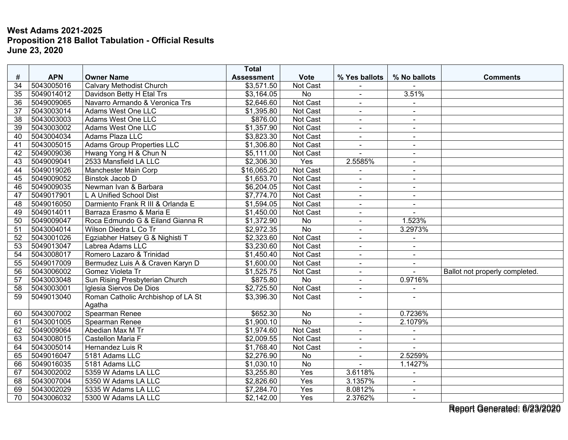## **West Adams 2021-2025 Proposition 218 Ballot Tabulation - Official Results June 23, 2020**

|                 |            |                                    | <b>Total</b>      |                  |                |                          |                                |
|-----------------|------------|------------------------------------|-------------------|------------------|----------------|--------------------------|--------------------------------|
| #               | <b>APN</b> | <b>Owner Name</b>                  | <b>Assessment</b> | <b>Vote</b>      | % Yes ballots  | % No ballots             | <b>Comments</b>                |
| 34              | 5043005016 | <b>Calvary Methodist Church</b>    | \$3,571.50        | Not Cast         |                |                          |                                |
| $\overline{35}$ | 5049014012 | Davidson Betty H Etal Trs          | \$3,164.05        | <b>No</b>        | $\blacksquare$ | 3.51%                    |                                |
| $\overline{36}$ | 5049009065 | Navarro Armando & Veronica Trs     | \$2,646.60        | Not Cast         | $\blacksquare$ |                          |                                |
| $\overline{37}$ | 5043003014 | Adams West One LLC                 | \$1,395.80        | Not Cast         | $\blacksquare$ |                          |                                |
| 38              | 5043003003 | Adams West One LLC                 | \$876.00          | Not Cast         | $\blacksquare$ | $\sim$                   |                                |
| $\overline{39}$ | 5043003002 | <b>Adams West One LLC</b>          | \$1,357.90        | <b>Not Cast</b>  | $\blacksquare$ | $\sim$                   |                                |
| 40              | 5043004034 | Adams Plaza LLC                    | \$3,823.30        | Not Cast         |                | $\blacksquare$           |                                |
| 41              | 5043005015 | <b>Adams Group Properties LLC</b>  | \$1,306.80        | <b>Not Cast</b>  | $\overline{a}$ | $\overline{\phantom{a}}$ |                                |
| 42              | 5049009036 | Hwang Yong H & Chun N              | \$5,111.00        | Not Cast         | $\overline{a}$ | $\sim$                   |                                |
| 43              | 5049009041 | 2533 Mansfield LA LLC              | \$2,306.30        | Yes              | 2.5585%        | $\sim$                   |                                |
| 44              | 5049019026 | Manchester Main Corp               | \$16,065.20       | <b>Not Cast</b>  |                | $\sim$                   |                                |
| $\overline{45}$ | 5049009052 | Binstok Jacob D                    | \$1,653.70        | Not Cast         | $\sim$         | $\sim$                   |                                |
| 46              | 5049009035 | Newman Ivan & Barbara              | \$6,204.05        | Not Cast         | $\blacksquare$ | $\sim$                   |                                |
| 47              | 5049017901 | L A Unified School Dist            | \$7,774.70        | Not Cast         | $\blacksquare$ | $\sim$                   |                                |
| 48              | 5049016050 | Darmiento Frank R III & Orlanda E  | \$1,594.05        | Not Cast         | $\overline{a}$ | $\sim$                   |                                |
| 49              | 5049014011 | Barraza Erasmo & Maria E           | \$1,450.00        | Not Cast         | $\blacksquare$ | $\overline{a}$           |                                |
| 50              | 5049009047 | Roca Edmundo G & Eiland Gianna R   | \$1,372.90        | No               | $\blacksquare$ | 1.523%                   |                                |
| 51              | 5043004014 | Wilson Diedra L Co Tr              | \$2,972.35        | $\overline{No}$  | $\blacksquare$ | 3.2973%                  |                                |
| 52              | 5043001026 | Egziabher Hatsey G & Nighisti T    | \$2,323.60        | Not Cast         | $\blacksquare$ |                          |                                |
| $\overline{53}$ | 5049013047 | Labrea Adams LLC                   | \$3,230.60        | Not Cast         | $\blacksquare$ | $\overline{a}$           |                                |
| 54              | 5043008017 | Romero Lazaro & Trinidad           | \$1,450.40        | Not Cast         | $\blacksquare$ | $\sim$                   |                                |
| 55              | 5049017009 | Bermudez Luis A & Craven Karyn D   | \$1,600.00        | Not Cast         |                |                          |                                |
| 56              | 5043006002 | Gomez Violeta Tr                   | \$1,525.75        | Not Cast         | $\blacksquare$ | $\mathbf{r}$             | Ballot not properly completed. |
| 57              | 5043003048 | Sun Rising Presbyterian Church     | \$875.80          | No               | ÷.             | 0.9716%                  |                                |
| 58              | 5043003001 | Iglesia Siervos De Dios            | \$2,725.50        | Not Cast         | $\blacksquare$ |                          |                                |
| 59              | 5049013040 | Roman Catholic Archbishop of LA St | \$3,396.30        | Not Cast         | ÷,             |                          |                                |
|                 |            | Agatha                             |                   |                  |                |                          |                                |
| 60              | 5043007002 | Spearman Renee                     | \$652.30          | No               | $\blacksquare$ | 0.7236%                  |                                |
| 61              | 5043001005 | Spearman Renee                     | \$1,900.10        | $\overline{No}$  |                | 2.1079%                  |                                |
| 62              | 5049009064 | Abedian Max M Tr                   | \$1,974.60        | Not Cast         | $\blacksquare$ | $\blacksquare$           |                                |
| 63              | 5043008015 | Castellon Maria F                  | \$2,009.55        | Not Cast         | $\blacksquare$ | $\overline{a}$           |                                |
| 64              | 5043005014 | Hernandez Luis R                   | \$1,768.40        | Not Cast         | $\blacksquare$ |                          |                                |
| 65              | 5049016047 | 5181 Adams LLC                     | \$2,276.90        | <b>No</b>        | $\blacksquare$ | 2.5259%                  |                                |
| 66              | 5049016035 | 5181 Adams LLC                     | \$1,030.10        | No               | $\blacksquare$ | 1.1427%                  |                                |
| 67              | 5043002002 | 5359 W Adams LA LLC                | \$3,255.80        | $\overline{Yes}$ | 3.6118%        | $\sim$                   |                                |
| 68              | 5043007004 | 5350 W Adams LA LLC                | \$2,826.60        | Yes              | 3.1357%        | $\sim$                   |                                |
| 69              | 5043002029 | 5335 W Adams LA LLC                | \$7,284.70        | Yes              | 8.0812%        | $\sim$                   |                                |
| 70              | 5043006032 | 5300 W Adams LA LLC                | \$2,142.00        | Yes              | 2.3762%        | $\blacksquare$           |                                |

Report Generated: 6/23/2020